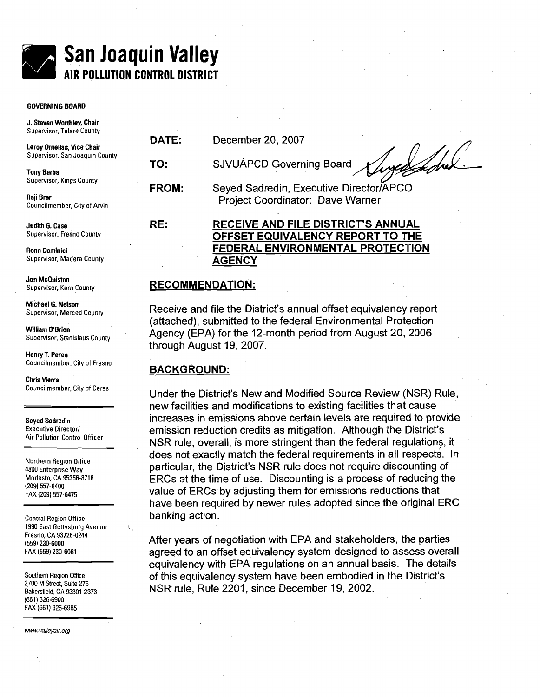

#### GOVERNING BOARD

J. Steven Worthley, Chair Supervisor. Tulare County

Leroy Ornellas, Vice Chair Supervisor, San Joaquin County

Tony Barba Supervisor, Kings County

Raji Brar<br>Councilmember, City of Arvin

Supervisor, Madera County **AGENCY** 

Jon McQuiston Supervisor, Kern County

Michael 6. Nelson Supervisor, Merced County

William O'Brien Supervisor, Stanislaus County

Henry T. Perea Councilmember, City of Fresno

Chris Vierra Councilmember, City **of** Ceres

Seyed Sadredin Executive Director/ Air Pollution Control Officer

Northern Region Office 4800 Enterprise Way Modesto, CA 95356-8718 (2091 557-6400 FAX (209) 557-6475

Central Region Office 1990 East Gettysburg Avenue Fresno, CA 93726-0244 (559) 230-6000 FAX (559) 230-6061

١ï,

Southern Region Office 2700 M Street, Suite 275 Bakersfield. CA 93301 -2373 (661) 326-6900 FAX (661) 326-6985

www. valleyair. org

**DATE:** December 20,2007

**TO:** SJVUAPCD Governing Board

FROM: Seyed Sadredin, Executive Director/APCO Project Coordinator: Dave Warner

## ~udith G. Case **RE: RECEIVE AND FILE DISTRICT'S ANNUAL OFFSET EQUIVALENCY REPORT TO THE** Ronn Dominici **FEDERAL ENVIRONMENTAL PROTECTION**

#### **RECOMMENDATION:**

Receive and file the District's annual offset equivalency report (attached), submitted to the federal Environmental Protection Agency (EPA) for the 12-month period from August 20,2006 through August 19,2007.

#### **BACKGROUND:**

Under the District's New and Modified Source Review (NSR) Rule, new facilities and modifications to existing facilities that cause increases in emissions above certain levels are required to provide emission reduction credits as mitigation. Although the District's NSR rule, overall, is more stringent than the federal regulations, it does not exactly match the federal requirements in all respects. In particular, the District's NSR rule does not require discounting of ERCs at the time of use. Discounting is a process of reducing the value of ERCs by adjusting them for emissions reductions that have been required by newer rules adopted since the original ERC banking action.

After years of negotiation with EPA and stakeholders, the parties agreed to an offset equivalency system designed to assess overall equivalency with EPA regulations on an annual basis. The details of this equivalency system have been embodied in the District's NSR rule, Rule 2201, since December 19, 2002.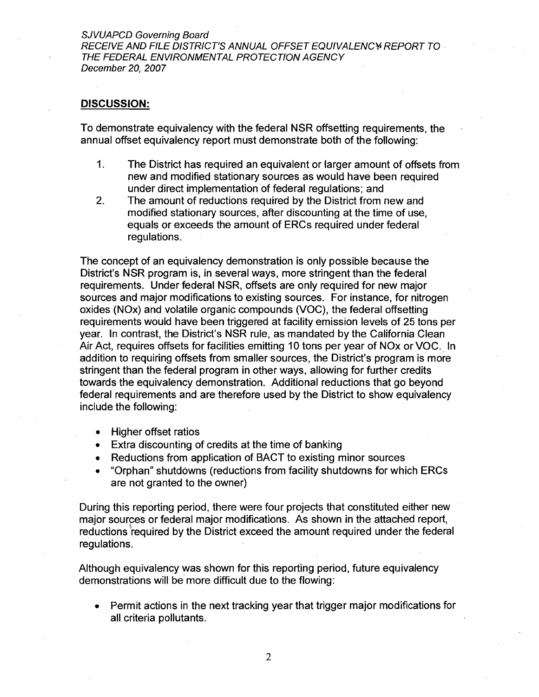SJVUAPCD Governing Board RECEIVE AND FILE DISTRICT'S ANNUAL OFFSET EQUIVALENCV REPORT TO THE FEDERAL ENVIRONMENTAL PROTECTION AGENCY December 20, 2007

#### **DISCUSSION:**

To demonstrate equivalency with the federal NSR offsetting requirements, the annual offset equivalency report must demonstrate both of the following:

- . The District has required an equivalent or larger amount of offsets from new and modified stationary sources as would have been required under direct implementation of federal regulations; and
- $2.$ The amount of reductions required by the District from new and modified stationary sources, after discounting at the time of use, equals or exceeds the amount of ERCs required under federal regulations.

The concept of an equivalency demonstration is only possible because the District's NSR program is, in several ways, more stringent than the federal requirements. Under federal NSR, offsets are only required for new major sources and major modifications to existing sources. For instance, for nitrogen oxides (NOx) and volatile organic compounds (VOC), the federal offsetting requirements would have been triggered at facility emission levels of 25 tons per year. In contrast, the District's NSR rule, as mandated by the California Clean Air Act, requires offsets for facilities emitting 10 tons per year of NOx or VOC. In addition to requiring offsets from smaller sources, the District's program is more stringent than the federal program in other ways, allowing for further credits towards the equivalency demonstration. Additional reductions that go beyond federal requirements and are therefore used by the District to show equivalency include the following:

- Higher offset ratios
- Extra discounting of credits at the time of banking
- Reductions from application of BACT to existing minor sources
- "Orphan" shutdowns (reductions from facility shutdowns for which ERCs are not granted to the owner)

During this reporting period, there were four projects that constituted either new major sources or federal major modifications. As shown in the attached report, reductions required by the District exceed the amount required under the federal regulations.

Although equivalency was shown for this reporting period, future equivalency demonstrations will be'more difficult due to the flowing:

Permit actions in the next tracking year that trigger major modifications for all criteria pollutants.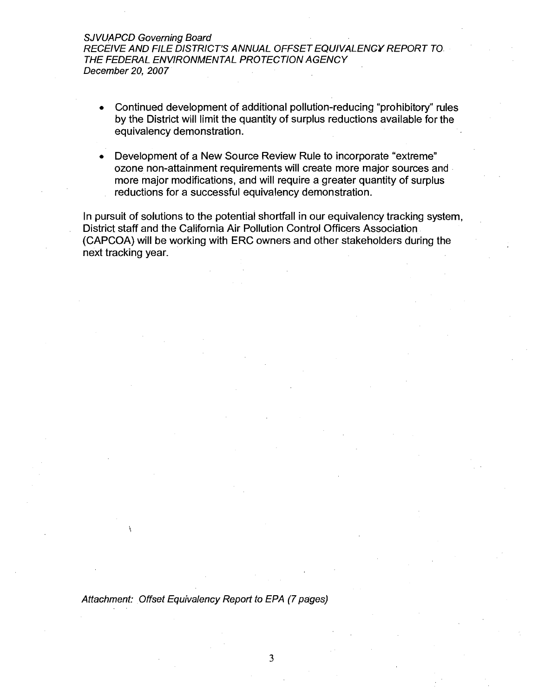#### SJVUAPCD Governing Board RECEIVE AND FILE DISTRICT'S ANNUAL OFFSET EQUIVALENCY REPORT TO THE FEDERAL ENVIRONMENTAL PROTECTION AGENCY December 20, 2007

- Continued development of additional pollution-reducing "prohibitory" rules by the District will limit the quantity of surplus reductions available for the equivalency demonstration.
- Development of a New Source Review Rule to incorporate "extreme" ozone non-attainment requirements will create more major sources and more major modifications, and will require a greater quantity of surplus reductions for a successful equivalency demonstration.

In pursuit of solutions to the potential shortfall in our equivalency tracking system, District staff and the California Air Pollution Control Officers Association (CAPCOA) will be working with ERC owners and other stakeholders during the next tracking year.

Attachment: Offset Equivalency Report to EPA (7 pages)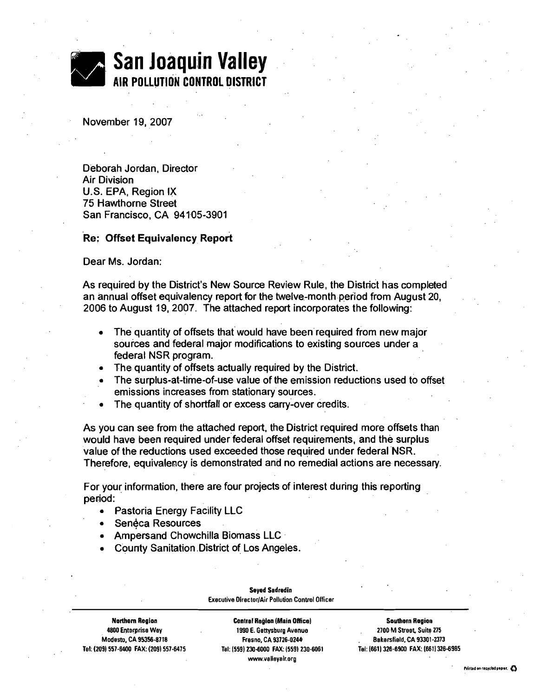

November 19, 2007

Deborah Jordan, Director Air Division U.S. EPA, Region **IX**  75 Hawthorne Street San Francisco. CA 94105-3901

#### **Re: Offset Equivalency Report**

Dear Ms. Jordan:

As required by the District's New Source Review Rule, the District has completed an annual offset equivalency report for the twelve-month period from August 20, 2006 to August 19, 2007. The attached report incorporates the following:

- The quantity of offsets that would have been required from new major sources and federal major modifications to existing sources under a federal NSR program.
- The quantity of offsets actually required by the District.  $\bullet$
- The surplus-at-time-of-use value of the emission reductions used to offset emissions increases from stationary sources.
- The quantity of shortfall or excess carry-over credits.

As you can see from the attached report, the District required more offsets than would have been required under federal offset requirements, and the surplus value of the reductions used exceeded those required under federal NSR. Therefore, equivalency is demonstrated and no remedial actions are necessary.

For your information, there are four projects of interest during this reporting period:

- Pastoria Energy Facility LLC
- Seneca Resources
- Ampersand Chowchilla Biomass LLC
- County Sanitation District of Los Angeles.

| <b>Northern Region</b>             |
|------------------------------------|
| 4800 Enterprise Wey                |
| Modesto, CA 95356-8718             |
| NH (ממכ/ המכ/ י∨ 100 בממכץ המותר). |

**Central Region (Main Office) Southern Region Central Region 4800 Enterprise Way 1990 E. Gattysburg Avenue 2700M Streef Suite 275 Tel: (209) 557-6400 FAX: (209) 557-6475 Tel: (559) 230-6000 FAX: 1559) 230-6061 Tel: (661 1 326-8900 FAX: (6611 328-8985**  www.velleyair.org

**Seyed Sadredin Executive Director/Air Pollution Control Officer** 

**Modesto, CA 9531-8718 Fresno. CA 33726-0244** . **Bakersfie1d;CA 93301-2373**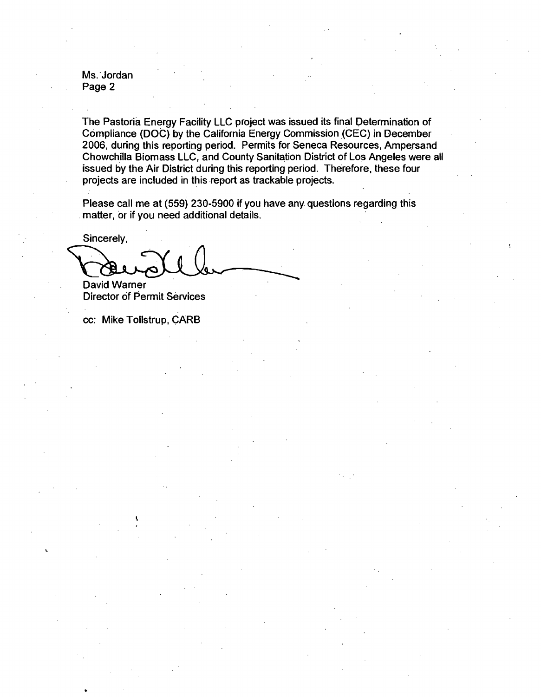Ms. 'Jordan Page 2

The Pastoria Energy Facility LLC project was issued its final Determination of Compliance (DOC) by the California Energy Commission (CEC) in December . 2006, during this reporting period. Permits for Seneca Resources, Ampersand Chowchilla Biomass LLC, and County Sanitation District of Los Angeles were all issued by the Air District during this reporting period. Therefore, these four projects are included in this report as trackable projects.

Please call me at (559) 230-5900 if you have any. questions regarding this matter, or if you need additional details.

Sincerelv. David Warner

Director of Permit Services

cc: Mike Tollstrup, CARB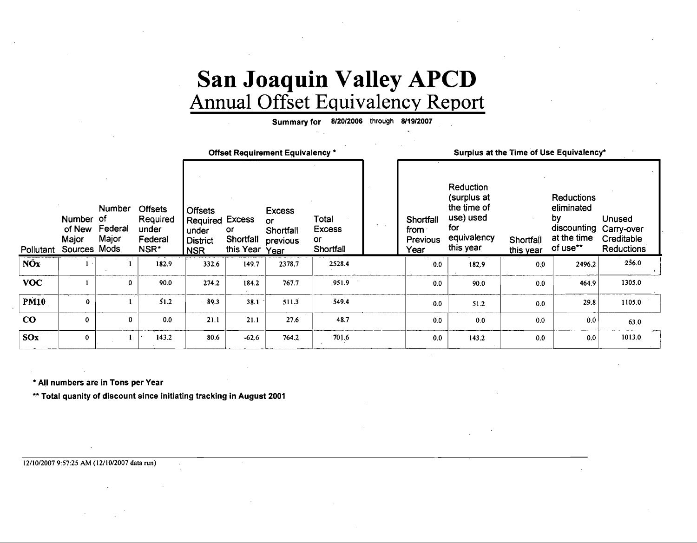# **San Joaquin Valley APCD**  Annual Offset Equivalency Report

**Summary for 812012006 through 8/19/2007** . .

|                       |                                              |                            |                                                        | Offset Requirement Equivalency *<br>Surplus at the Time of Use Equivalency*        |                              |                                                             |                                           |  |                                              |                                                                                         |                        |                                                                                 |                                                         |
|-----------------------|----------------------------------------------|----------------------------|--------------------------------------------------------|------------------------------------------------------------------------------------|------------------------------|-------------------------------------------------------------|-------------------------------------------|--|----------------------------------------------|-----------------------------------------------------------------------------------------|------------------------|---------------------------------------------------------------------------------|---------------------------------------------------------|
| Pollutant             | Number of<br>of New<br>Major<br>Sources Mods | Number<br>Federal<br>Major | <b>Offsets</b><br>Required<br>under<br>Federal<br>NSR* | <b>Offsets</b><br><b>Required Excess</b><br>under<br><b>District</b><br><b>NSR</b> | or<br>Shortfall<br>this Year | <b>Excess</b><br><b>or</b><br>Shortfall<br>previous<br>Year | Total<br><b>Excess</b><br>or<br>Shortfall |  | Shortfall<br>from<br><b>Previous</b><br>Year | Reduction<br>(surplus at<br>the time of<br>use) used<br>for<br>equivalency<br>this year | Shortfall<br>this year | <b>Reductions</b><br>eliminated<br>bγ<br>discounting<br>at the time<br>of use** | Unused<br>Carry-over<br>Creditable<br><b>Reductions</b> |
| <b>NO<sub>x</sub></b> |                                              |                            | 182.9                                                  | 332.6                                                                              | 149.7                        | 2378.7                                                      | 2528.4                                    |  | 0.0                                          | 182.9                                                                                   | 0.0                    | 2496.2                                                                          | 256.0                                                   |
| <b>VOC</b>            |                                              | $\mathbf 0$                | 90.0                                                   | 274.2                                                                              | 184.2                        | 767.7                                                       | 951.9                                     |  | 0.0                                          | 90.0                                                                                    | 0.0                    | 464.9                                                                           | 1305.0                                                  |
| <b>PM10</b>           | 0                                            |                            | 51,2                                                   | 89.3                                                                               | 38.1                         | 511.3                                                       | 549.4                                     |  | 0.0                                          | 51.2                                                                                    | 0.0                    | 29.8                                                                            | 1105.0                                                  |
| $\bf{CO}$             | 0                                            | 0                          | 0.0                                                    | 21.1                                                                               | 21.1                         | 27.6                                                        | 48.7                                      |  | 0.0                                          | 0.0                                                                                     | 0.0                    | 0.0                                                                             | 63.0                                                    |
| SOx                   | $\mathbf{0}$                                 |                            | 143.2                                                  | 80.6                                                                               | $-62.6$                      | 764.2                                                       | 701.6                                     |  | 0.0                                          | 143.2                                                                                   | 0.0                    | 0.0                                                                             | 1013.0                                                  |

' **All numbers are in Tons per Year** 

" **Total quanity of discount since initiating tracking in August 2001** 

#### **12/10/2007 9:57:25 AM (12/10/2007 data run)**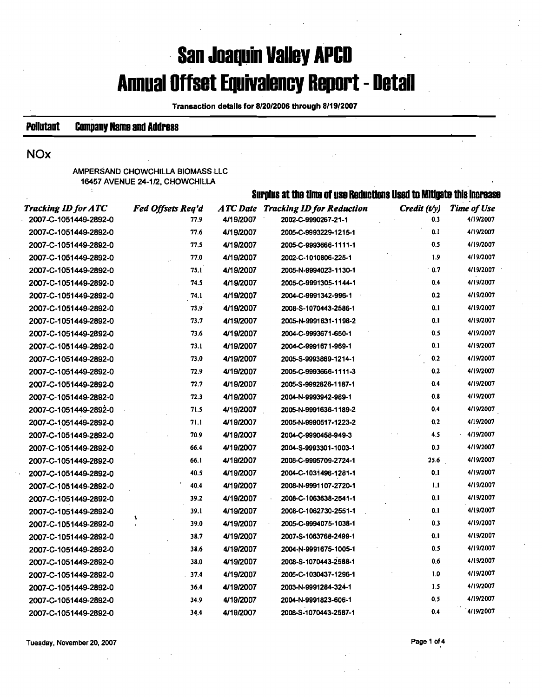# **San Joaquin Valley APED Annual Offset Equivalency Report - Detail**

Transaction details for 812012006 through 811912007

### **Polluta~t Campany Name and Address**

### **NOx**

AMPERSAND CHOWCHILLA BIOMASS LLC 16457 AVENUE 24-1/2. CHOWCHILLA

|                            |                   |           | Surplus at the time of use Reductions Used to Mitigate this Increase |              |             |
|----------------------------|-------------------|-----------|----------------------------------------------------------------------|--------------|-------------|
| <b>Tracking ID for ATC</b> | Fed Offsets Req'd |           | <b>ATC Date Tracking ID for Reduction</b>                            | Credit (t/y) | Time of Use |
| 2007-C-1051449-2892-0      | 77.9              | 4/19/2007 | 2002-C-9990267-21-1                                                  | 0.3          | 4/19/2007   |
| 2007-C-1051449-2892-0      | 77.6              | 4/19/2007 | 2005-C-9993229-1215-1                                                | 0.1          | 4/19/2007   |
| 2007-C-1051449-2892-0      | 77.5              | 4/19/2007 | 2005-C-9993666-1111-1                                                | 0.5          | 4/19/2007   |
| 2007-C-1051449-2892-0      | 77,0              | 4/19/2007 | 2002-C-1010806-225-1                                                 | 1.9          | 4/19/2007   |
| 2007-C-1051449-2892-0      | 75.1              | 4/19/2007 | 2005-N-9994023-1130-1                                                | $\cdot$ 0.7  | 4/19/2007   |
| 2007-C-1051449-2892-0      | 74.5              | 4/19/2007 | 2005-C-9991305-1144-1                                                | 0.4          | 4/19/2007   |
| 2007-C-1051449-2892-0      | 74.1              | 4/19/2007 | 2004-C-9991342-996-1                                                 | 0.2          | 4/19/2007   |
| 2007-C-1051449-2892-0      | 73.9              | 4/19/2007 | 2008-S-1070443-2586-1                                                | 0.1          | 4/19/2007   |
| 2007-C-1051449-2892-0      | 73.7              | 4/19/2007 | 2005-N-9991631-1198-2                                                | 0.1          | 4/19/2007   |
| 2007-C-1051449-2892-0      | 73.6              | 4/19/2007 | 2004-C-9993671-650-1                                                 | 0.5          | 4/19/2007   |
| 2007-C-1051449-2892-0      | 73.1              | 4/19/2007 | 2004-C-9991671-969-1                                                 | 0.1          | 4/19/2007   |
| 2007-C-1051449-2892-0      | 73.0              | 4/19/2007 | 2005-S-9993869-1214-1                                                | 0.2          | 4/19/2007   |
| 2007-C-1051449-2892-0      | 72.9              | 4/19/2007 | 2005-C-9993666-1111-3                                                | 0.2          | 4/19/2007   |
| 2007-C-1051449-2892-0      | 72.7              | 4/19/2007 | 2005-S-9992826-1187-1                                                | 0.4          | 4/19/2007   |
| 2007-C-1051449-2892-0      | 72.3              | 4/19/2007 | 2004-N-9993942-989-1                                                 | 0.8          | 4/19/2007   |
| 2007-C-1051449-2892-0      | 71.5              | 4/19/2007 | 2005-N-9991636-1189-2                                                | 0.4          | 4/19/2007   |
| 2007-C-1051449-2892-0      | 71.1              | 4/19/2007 | 2005-N-9990517-1223-2                                                | 0.2          | 4/19/2007   |
| 2007-C-1051449-2892-0      | 70.9              | 4/19/2007 | 2004-C-9990458-949-3                                                 | 4.5          | 4/19/2007   |
| 2007-C-1051449-2892-0      | 66.4              | 4/19/2007 | 2004-S-9993301-1003-1                                                | 0.3          | 4/19/2007   |
| 2007-C-1051449-2892-0      | 66.1              | 4/19/2007 | 2008-C-9995709-2724-1                                                | 25.6         | 4/19/2007   |
| 2007-C-1051449-2892-0      | 40.5              | 4/19/2007 | 2004-C-1031496-1281-1                                                | 0.1          | 4/19/2007   |
| 2007-C-1051449-2892-0      | 40.4              | 4/19/2007 | 2008-N-9991107-2720-1                                                | 1,1          | 4/19/2007   |
| 2007-C-1051449-2892-0      | 39.2              | 4/19/2007 | 2008-C-1063638-2541-1                                                | 0.1          | 4/19/2007   |
| 2007-C-1051449-2892-0      | 39.1              | 4/19/2007 | 2008-C-1062730-2551-1                                                | 0.1          | 4/19/2007   |
| 2007-C-1051449-2892-0      | ١<br>39.0         | 4/19/2007 | 2005-C-9994075-1038-1                                                | 0.3          | 4/19/2007   |
| 2007-C-1051449-2892-0      | 38.7              | 4/19/2007 | 2007-S-1063768-2499-1                                                | 0.1          | 4/19/2007   |
| 2007-C-1051449-2892-0      | 38.6              | 4/19/2007 | 2004-N-9991675-1005-1                                                | 0.5          | 4/19/2007   |
| 2007-C-1051449-2892-0      | 38.0              | 4/19/2007 | 2008-S-1070443-2588-1                                                | 0.6          | 4/19/2007   |
| 2007-C-1051449-2892-0      | 37.4              | 4/19/2007 | 2005-C-1030437-1296-1                                                | 1.0          | 4/19/2007   |
| 2007-C-1051449-2892-0      | 36.4              | 4/19/2007 | 2003-N-9991284-324-1                                                 | 1.5          | 4/19/2007   |
| 2007-C-1051449-2892-0      | 34.9              | 4/19/2007 | 2004-N-9991823-606-1                                                 | 0.5          | 4/19/2007   |
| 2007-C-1051449-2892-0      | 34,4              | 4/19/2007 | 2008-S-1070443-2587-1                                                | 0.4          | 4/19/2007   |

**Tuesday. November 20,2007 Page 1 of 4**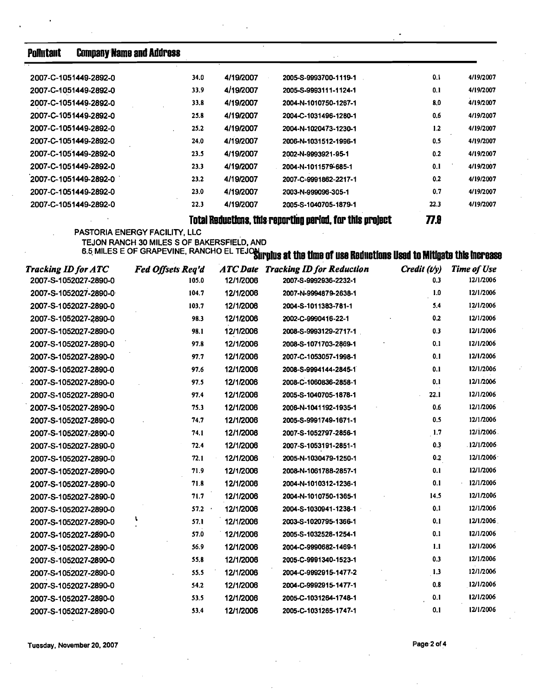| <b>Pointant</b>            | <b>Company Name and Address</b>            |                      |                                                                                                                       |                  |                    |
|----------------------------|--------------------------------------------|----------------------|-----------------------------------------------------------------------------------------------------------------------|------------------|--------------------|
| 2007-C-1051449-2892-0      | 34.0                                       | 4/19/2007            | 2005-S-9993700-1119-1                                                                                                 | 0.1              | 4/19/2007          |
| 2007-C-1051449-2892-0      | 33.9                                       | 4/19/2007            | 2005-S-9993111-1124-1                                                                                                 | 0.1              | 4/19/2007          |
| 2007-C-1051449-2892-0      | 33.8                                       | 4/19/2007            | 2004-N-1010750-1267-1                                                                                                 | 8,0              | 4/19/2007          |
| 2007-C-1051449-2892-0      | 25.8                                       | 4/19/2007            | 2004-C-1031496-1280-1                                                                                                 | 0.6              | 4/19/2007          |
| 2007-C-1051449-2892-0      | 25.2                                       | 4/19/2007            | 2004-N-1020473-1230-1                                                                                                 | 1.2              | 4/19/2007          |
| 2007-C-1051449-2892-0      | 24.0                                       | 4/19/2007            | 2006-N-1031512-1996-1                                                                                                 | 0,5              | 4/19/2007          |
| 2007-C-1051449-2892-0      | 23.5                                       | 4/19/2007            | 2002-N-9993921-95-1                                                                                                   | 0.2              | 4/19/2007          |
| 2007-C-1051449-2892-0      | 23.3                                       | 4/19/2007            | 2004-N-1011579-685-1                                                                                                  | 0.1              | 4/19/2007          |
| 2007-C-1051449-2892-0      | 23.2                                       | 4/19/2007            | 2007-C-9991862-2217-1                                                                                                 | 0.2              | 4/19/2007          |
| 2007-C-1051449-2892-0      | 23.0                                       | 4/19/2007            | 2003-N-999096-305-1                                                                                                   | 0.7              | 4/19/2007          |
| 2007-C-1051449-2892-0      | 22.3                                       | 4/19/2007            | 2005-S-1040705-1879-1                                                                                                 | 22.3             | 4/19/2007          |
|                            |                                            |                      | Total Reductions, this reporting period, for this project                                                             | <b>77.8</b>      |                    |
|                            | PASTORIA ENERGY FACILITY, LLC              |                      |                                                                                                                       |                  |                    |
|                            | TEJON RANCH 30 MILES S OF BAKERSFIELD, AND |                      | <b>6.5 MILES E OF GRAPEVINE, RANCHO EL TEJON DUITUUS at the time of use Reductions Used to Mitigate this increase</b> |                  |                    |
| <b>Tracking ID for ATC</b> | Fed Offsets Req'd                          |                      | <b>ATC Date Tracking ID for Reduction</b>                                                                             | Credit (t/y)     | <b>Time of Use</b> |
| 2007-S-1052027-2890-0      | 105.0                                      | 12/1/2006            | 2007-S-9992936-2232-1                                                                                                 | 0.3              | 12/1/2006          |
| 2007-S-1052027-2890-0      | 104.7                                      | 12/1/2006            | 2007-N-9994879-2638-1                                                                                                 | 1.0              | 12/1/2006          |
| 2007-S-1052027-2890-0      | 103.7                                      | 12/1/2006            | 2004-S-1011383-781-1                                                                                                  | 5.4              | 12/1/2006          |
| 2007-S-1052027-2890-0      | 98.3                                       | 12/1/2006            | 2002-C-9990416-22-1                                                                                                   | 0.2              | 12/1/2006          |
| 2007-S-1052027-2890-0      | 98.1                                       | 12/1/2006            | 2008-S-9993129-2717-1                                                                                                 | 0.3              | 12/1/2006          |
| 2007-S-1052027-2890-0      | 97.8                                       | 12/1/2006            | 2008-S-1071703-2869-1                                                                                                 | 0.1              | 12/1/2006          |
| 2007-S-1052027-2890-0      | 97.7                                       | 12/1/2006            | 2007-C-1053057-1998-1                                                                                                 | 0.1              | 12/1/2006          |
| 2007-S-1052027-2890-0      | 97.6                                       | 12/1/2006            | 2008-S-9994144-2845-1                                                                                                 | 0.1              | 12/1/2006          |
| 2007-S-1052027-2890-0      | 97.5                                       | 12/1/2006            | 2008-C-1060836-2858-1                                                                                                 | 0.1              | 12/1/2006          |
| 2007-S-1052027-2890-0      | 97.4                                       | 12/1/2006            | 2005-S-1040705-1878-1                                                                                                 | 22.1             | 12/1/2006          |
| 2007-S-1052027-2890-0      | 75.3                                       | 12/1/2006            | 2006-N-1041192-1935-1                                                                                                 | 0.6              | 12/1/2006          |
| 2007-S-1052027-2890-0      | 74.7                                       | 12/1/2006            | 2005-S-9991749-1671-1                                                                                                 | 0.5              | 12/1/2006          |
| 2007-S-1052027-2890-0      | 74.1                                       | 12/1/2006            | 2007-S-1052797-2856-1                                                                                                 | 1.7              | 12/1/2006.         |
| 2007-S-1052027-2890-0      | 72.4                                       | 12/1/2006            | 2007-S-1053191-2851-1                                                                                                 | 0.3              | 12/1/2006          |
| 2007-S-1052027-2890-0      | 72.1                                       | 12/1/2006            | 2005-N-1030479-1250-1                                                                                                 | 0.2              | 12/1/2006          |
| 2007-S-1052027-2890-0      | 71.9                                       | 12/1/2006            | 2008-N-1061788-2857-1                                                                                                 | 0.1              | 12/1/2006          |
| 2007-S-1052027-2890-0      | 71.8                                       | 12/1/2006            | 2004-N-1010312-1236-1                                                                                                 | 0.1              | 12/1/2006          |
| 2007-S-1052027-2890-0      | 71.7                                       | 12/1/2006            | 2004-N-1010750-1365-1                                                                                                 | 14.5             | 12/1/2006          |
| 2007-S-1052027-2890-0      | 57.2                                       | $\cdot$<br>12/1/2006 | 2004-S-1030941-1238-1                                                                                                 | 0.1              | 12/1/2006          |
| 2007-S-1052027-2890-0      | 57.1                                       | 12/1/2006            | 2003-S-1020795-1366-1                                                                                                 | 0.1              | 12/1/2006          |
| 2007-S-1052027-2890-0      | 57.0                                       | 12/1/2006            | 2005-S-1032528-1254-1                                                                                                 | 0.1              | 12/1/2006          |
| 2007-S-1052027-2890-0      | 56.9                                       | 12/1/2006            | 2004-C-9990682-1469-1                                                                                                 | 1.1              | 12/1/2006          |
| 2007-S-1052027-2890-0      | 55.8                                       | 12/1/2006            | 2005-C-9991340-1523-1                                                                                                 | 0.3              | 12/1/2006          |
| 2007-S-1052027-2890-0      | 55.5                                       | 12/1/2006            | 2004-C-9992915-1477-2                                                                                                 | $\overline{1.3}$ | 12/1/2006          |
| 2007-S-1052027-2890-0      | 54.2                                       | 12/1/2006            | 2004-C-9992915-1477-1                                                                                                 | 0.8              | 12/1/2006          |
| 2007-S-1052027-2890-0      | 53.5                                       | 12/1/2006            | 2005-C-1031264-1748-1                                                                                                 | 0.1              | 12/1/2006          |
| 2007-S-1052027-2890-0      | 53.4                                       | 12/1/2006            | 2005-C-1031265-1747-1                                                                                                 | 0.1              | 12/1/2006          |

**Tuesday. November 20.2007 Page.2 of 4**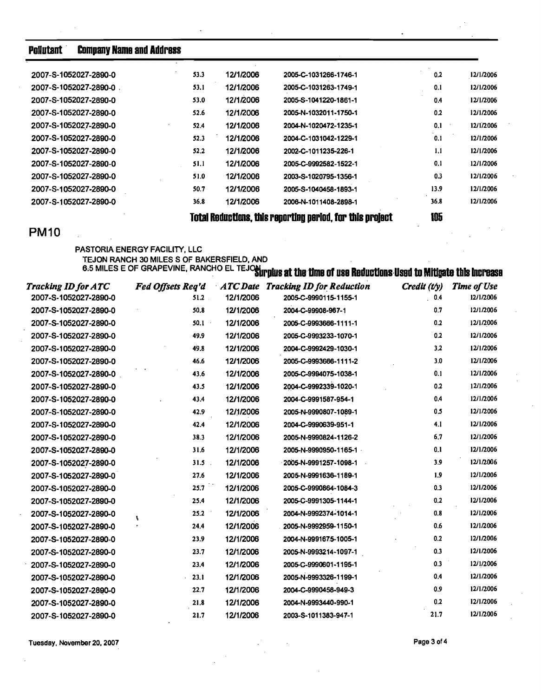#### **Pollutant Company Name and Address**

| 12/1/2006<br>51.1<br>12/1/2006<br>51.0<br>12/1/2006<br>50.7<br>36.8<br>12/1/2006 | 2005-C-9992582-1522-1<br>2003-S-1020795-1356-1<br>2005-S-1040458-1893-1<br>2006-N-1011408-2898-1 | 0.1<br>0.3<br>13.9<br>36.8 | 12/1/2006<br>12/1/2006<br>12/1/2006<br>12/1/2006 |
|----------------------------------------------------------------------------------|--------------------------------------------------------------------------------------------------|----------------------------|--------------------------------------------------|
|                                                                                  |                                                                                                  |                            |                                                  |
|                                                                                  |                                                                                                  |                            |                                                  |
|                                                                                  |                                                                                                  |                            |                                                  |
|                                                                                  |                                                                                                  |                            |                                                  |
| 12/1/2006<br>52.2                                                                | 2002-C-1011235-226-1                                                                             | 1.1                        | 12/1/2006                                        |
| 12/1/2006<br>52.3                                                                | 2004-C-1031042-1229-1                                                                            | 0.1                        | 12/1/2006                                        |
| 12/1/2006<br>52.4                                                                | 2004-N-1020472-1235-1                                                                            | 0.1                        | 12/1/2006                                        |
| 12/1/2006<br>52.6                                                                | 2005-N-1032011-1750-1                                                                            | 0.2                        | 12/1/2006                                        |
| 12/1/2006<br>53.0                                                                | 2005-S-1041220-1861-1                                                                            | 0.4                        | 12/1/2006                                        |
| 53.1<br>12/1/2006                                                                | 2005-C-1031263-1749-1                                                                            | 0.1                        | 12/1/2006                                        |
| 53.3<br>12/1/2006                                                                | 2005-C-1031266-1746-1                                                                            | 0.2                        | 12/1/2006                                        |
|                                                                                  |                                                                                                  |                            |                                                  |

**PM10** 

## PASTORIA ENERGY FACILITY, LLC ASTORIA ENERGY FACILITI, LLC<br>TEJON RANCH 30 MILES S OF BAKERSFIELD, AND<br>6.5 MILES E OF GRAPEVINE, RANCHO EL TEJO**N TIPIUS AT THE TIME OF USE REDUCTIONS USED TO MITIGATE THIS INCPEASE**

| Tracking ID for ATC   | <b>Fed Offsets Req'd</b> |           | <b>ATC Date Tracking ID for Reduction</b> | Credit (t/y) | <b>Time of Use</b> |
|-----------------------|--------------------------|-----------|-------------------------------------------|--------------|--------------------|
| 2007-S-1052027-2890-0 | $51.2$ .                 | 12/1/2006 | 2005-C-9990115-1155-1                     | 0.4          | 12/1/2006          |
| 2007-S-1052027-2890-0 | 50.8                     | 12/1/2006 | 2004-C-99908-967-1                        | 0.7          | 12/1/2006          |
| 2007-S-1052027-2890-0 | 50.1                     | 12/1/2006 | 2005-C-9993666-1111-1                     | 0.2          | 12/1/2006          |
| 2007-S-1052027-2890-0 | 49.9                     | 12/1/2006 | 2005-C-9993233-1070-1                     | 0.2          | 12/1/2006          |
| 2007-S-1052027-2890-0 | 49.8                     | 12/1/2006 | 2004-C-9992429-1030-1                     | 3.2          | 12/1/2006          |
| 2007-S-1052027-2890-0 | 46.6                     | 12/1/2006 | 2005-C-9993666-1111-2                     | 3.0          | 12/1/2006          |
| 2007-S-1052027-2890-0 | 43.6                     | 12/1/2006 | 2005-C-9994075-1038-1                     | 0.1          | 12/1/2006          |
| 2007-S-1052027-2890-0 | 43.5                     | 12/1/2006 | 2004-C-9992339-1020-1                     | 0.2          | 12/1/2006          |
| 2007-S-1052027-2890-0 | 43.4                     | 12/1/2006 | 2004-C-9991587-954-1                      | 0.4          | 12/1/2006          |
| 2007-S-1052027-2890-0 | 42.9                     | 12/1/2006 | 2005-N-9990807-1089-1                     | 0.5          | 12/1/2006          |
| 2007-S-1052027-2890-0 | 42.4                     | 12/1/2006 | 2004-C-9990639-951-1                      | 4.1          | 12/1/2006          |
| 2007-S-1052027-2890-0 | 38.3                     | 12/1/2006 | 2005-N-9990824-1126-2                     | 6.7          | 12/1/2006          |
| 2007-S-1052027-2890-0 | 31.6                     | 12/1/2006 | 2005-N-9990950-1165-1                     | 0.1          | 12/1/2006          |
| 2007-S-1052027-2890-0 | 31.5                     | 12/1/2006 | 2005-N-9991257-1098-1                     | 3.9          | 12/1/2006          |
| 2007-S-1052027-2890-0 | 27.6                     | 12/1/2006 | 2005-N-9991636-1189-1                     | 1.9          | 12/1/2006          |
| 2007-S-1052027-2890-0 | 25.7                     | 12/1/2006 | 2005-C-9990864-1084-3                     | 0.3          | 12/1/2006          |
| 2007-S-1052027-2890-0 | 25.4                     | 12/1/2006 | 2005-C-9991305-1144-1                     | 0.2          | 12/1/2006          |
| 2007-S-1052027-2890-0 | 25.2                     | 12/1/2006 | 2004-N-9992374-1014-1                     | 0.8          | 12/1/2006          |
| 2007-S-1052027-2890-0 | 24.4                     | 12/1/2006 | 2005-N-9992959-1150-1                     | 0.6          | 12/1/2006          |
| 2007-S-1052027-2890-0 | 23.9                     | 12/1/2006 | 2004-N-9991675-1005-1                     | 0.2          | 12/1/2006          |
| 2007-S-1052027-2890-0 | 23.7                     | 12/1/2006 | 2005-N-9993214-1097-1                     | 0.3          | 12/1/2006          |
| 2007-S-1052027-2890-0 | 23.4                     | 12/1/2006 | 2005-C-9990601-1195-1                     | 0.3          | 12/1/2006          |
| 2007-S-1052027-2890-0 | 23.1                     | 12/1/2006 | 2005-N-9993326-1199-1                     | 0.4          | 12/1/2006          |
| 2007-S-1052027-2890-0 | 22.7                     | 12/1/2006 | 2004-C-9990458-949-3                      | 0.9          | 12/1/2006          |
| 2007-S-1052027-2890-0 | 21.8                     | 12/1/2006 | 2004-N-9993440-990-1                      | 0.2          | 12/1/2006          |
| 2007-S-1052027-2890-0 | 21.7                     | 12/1/2006 | 2003-S-1011383-947-1                      | 21.7         | 12/1/2006          |

Tuesday, November 20, 2007

Page 3 of 4